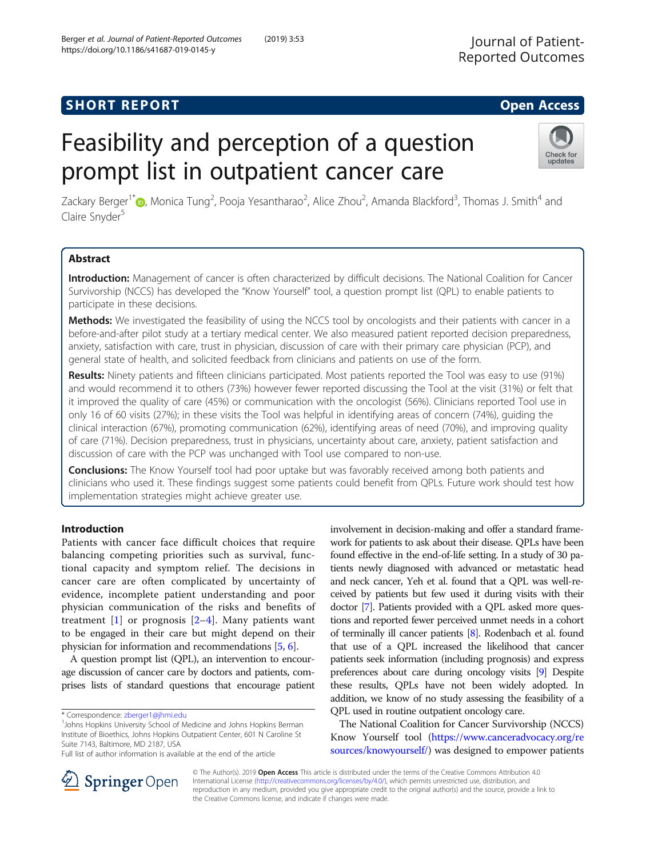## **SHORT REPORT SHORT CONSUMING THE OPEN ACCESS**

# Feasibility and perception of a question prompt list in outpatient cancer care

Zackary Berger<sup>1\*</sup>®[,](http://orcid.org/0000-0002-5871-0342) Monica Tung<sup>2</sup>, Pooja Yesantharao<sup>2</sup>, Alice Zhou<sup>2</sup>, Amanda Blackford<sup>3</sup>, Thomas J. Smith<sup>4</sup> and Claire Snyder<sup>5</sup>

## Abstract

Introduction: Management of cancer is often characterized by difficult decisions. The National Coalition for Cancer Survivorship (NCCS) has developed the "Know Yourself" tool, a question prompt list (QPL) to enable patients to participate in these decisions.

Methods: We investigated the feasibility of using the NCCS tool by oncologists and their patients with cancer in a before-and-after pilot study at a tertiary medical center. We also measured patient reported decision preparedness, anxiety, satisfaction with care, trust in physician, discussion of care with their primary care physician (PCP), and general state of health, and solicited feedback from clinicians and patients on use of the form.

Results: Ninety patients and fifteen clinicians participated. Most patients reported the Tool was easy to use (91%) and would recommend it to others (73%) however fewer reported discussing the Tool at the visit (31%) or felt that it improved the quality of care (45%) or communication with the oncologist (56%). Clinicians reported Tool use in only 16 of 60 visits (27%); in these visits the Tool was helpful in identifying areas of concern (74%), guiding the clinical interaction (67%), promoting communication (62%), identifying areas of need (70%), and improving quality of care (71%). Decision preparedness, trust in physicians, uncertainty about care, anxiety, patient satisfaction and discussion of care with the PCP was unchanged with Tool use compared to non-use.

**Conclusions:** The Know Yourself tool had poor uptake but was favorably received among both patients and clinicians who used it. These findings suggest some patients could benefit from QPLs. Future work should test how implementation strategies might achieve greater use.

## Introduction

Patients with cancer face difficult choices that require balancing competing priorities such as survival, functional capacity and symptom relief. The decisions in cancer care are often complicated by uncertainty of evidence, incomplete patient understanding and poor physician communication of the risks and benefits of treatment  $[1]$  $[1]$  or prognosis  $[2-4]$  $[2-4]$  $[2-4]$  $[2-4]$ . Many patients want to be engaged in their care but might depend on their physician for information and recommendations [[5,](#page-5-0) [6](#page-5-0)].

A question prompt list (QPL), an intervention to encourage discussion of cancer care by doctors and patients, comprises lists of standard questions that encourage patient

<sup>1</sup> Johns Hopkins University School of Medicine and Johns Hopkins Berman Institute of Bioethics, Johns Hopkins Outpatient Center, 601 N Caroline St Suite 7143, Baltimore, MD 2187, USA

involvement in decision-making and offer a standard framework for patients to ask about their disease. QPLs have been found effective in the end-of-life setting. In a study of 30 patients newly diagnosed with advanced or metastatic head and neck cancer, Yeh et al. found that a QPL was well-received by patients but few used it during visits with their doctor [\[7\]](#page-5-0). Patients provided with a QPL asked more questions and reported fewer perceived unmet needs in a cohort of terminally ill cancer patients [[8](#page-5-0)]. Rodenbach et al. found that use of a QPL increased the likelihood that cancer patients seek information (including prognosis) and express preferences about care during oncology visits [\[9\]](#page-5-0) Despite these results, QPLs have not been widely adopted. In addition, we know of no study assessing the feasibility of a QPL used in routine outpatient oncology care.

The National Coalition for Cancer Survivorship (NCCS) Know Yourself tool [\(https://www.canceradvocacy.org/re](https://www.canceradvocacy.org/resources/knowyourself/) [sources/knowyourself/\)](https://www.canceradvocacy.org/resources/knowyourself/) was designed to empower patients

Berger et al. Journal of Patient-Reported Outcomes (2019) 3:53







<sup>\*</sup> Correspondence: [zberger1@jhmi.edu](mailto:zberger1@jhmi.edu) <sup>1</sup>

Full list of author information is available at the end of the article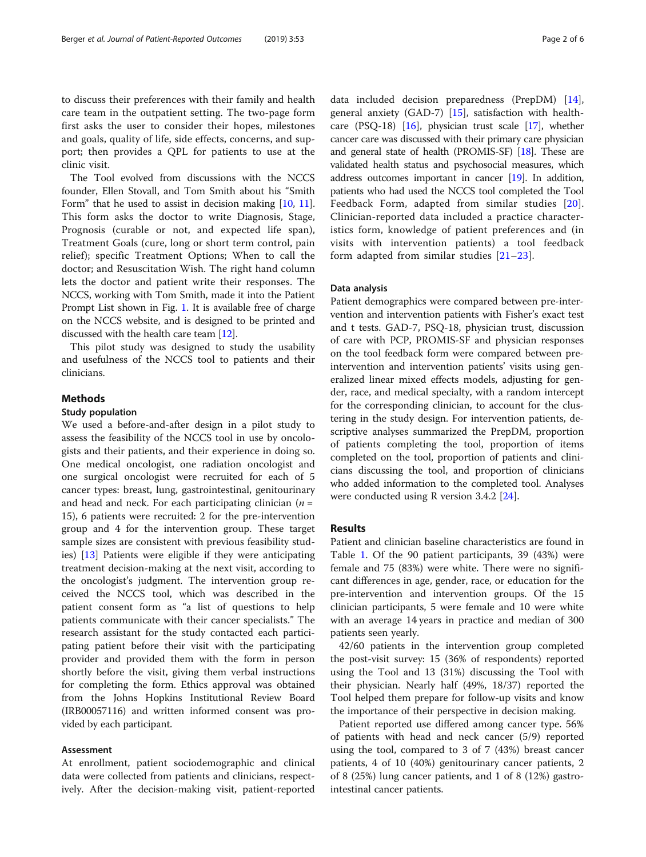to discuss their preferences with their family and health care team in the outpatient setting. The two-page form first asks the user to consider their hopes, milestones and goals, quality of life, side effects, concerns, and support; then provides a QPL for patients to use at the clinic visit.

The Tool evolved from discussions with the NCCS founder, Ellen Stovall, and Tom Smith about his "Smith Form" that he used to assist in decision making [\[10,](#page-5-0) [11](#page-5-0)]. This form asks the doctor to write Diagnosis, Stage, Prognosis (curable or not, and expected life span), Treatment Goals (cure, long or short term control, pain relief); specific Treatment Options; When to call the doctor; and Resuscitation Wish. The right hand column lets the doctor and patient write their responses. The NCCS, working with Tom Smith, made it into the Patient Prompt List shown in Fig. [1.](#page-2-0) It is available free of charge on the NCCS website, and is designed to be printed and discussed with the health care team [\[12\]](#page-5-0).

This pilot study was designed to study the usability and usefulness of the NCCS tool to patients and their clinicians.

## Methods

#### Study population

We used a before-and-after design in a pilot study to assess the feasibility of the NCCS tool in use by oncologists and their patients, and their experience in doing so. One medical oncologist, one radiation oncologist and one surgical oncologist were recruited for each of 5 cancer types: breast, lung, gastrointestinal, genitourinary and head and neck. For each participating clinician ( $n =$ 15), 6 patients were recruited: 2 for the pre-intervention group and 4 for the intervention group. These target sample sizes are consistent with previous feasibility studies) [[13\]](#page-5-0) Patients were eligible if they were anticipating treatment decision-making at the next visit, according to the oncologist's judgment. The intervention group received the NCCS tool, which was described in the patient consent form as "a list of questions to help patients communicate with their cancer specialists." The research assistant for the study contacted each participating patient before their visit with the participating provider and provided them with the form in person shortly before the visit, giving them verbal instructions for completing the form. Ethics approval was obtained from the Johns Hopkins Institutional Review Board (IRB00057116) and written informed consent was provided by each participant.

#### Assessment

At enrollment, patient sociodemographic and clinical data were collected from patients and clinicians, respectively. After the decision-making visit, patient-reported

data included decision preparedness (PrepDM) [\[14](#page-5-0)], general anxiety (GAD-7) [[15\]](#page-5-0), satisfaction with healthcare (PSQ-18) [\[16\]](#page-5-0), physician trust scale [[17](#page-5-0)], whether cancer care was discussed with their primary care physician and general state of health (PROMIS-SF) [\[18\]](#page-5-0). These are validated health status and psychosocial measures, which address outcomes important in cancer [[19](#page-5-0)]. In addition, patients who had used the NCCS tool completed the Tool Feedback Form, adapted from similar studies [[20](#page-5-0)]. Clinician-reported data included a practice characteristics form, knowledge of patient preferences and (in visits with intervention patients) a tool feedback form adapted from similar studies [[21](#page-5-0)–[23](#page-5-0)].

#### Data analysis

Patient demographics were compared between pre-intervention and intervention patients with Fisher's exact test and t tests. GAD-7, PSQ-18, physician trust, discussion of care with PCP, PROMIS-SF and physician responses on the tool feedback form were compared between preintervention and intervention patients' visits using generalized linear mixed effects models, adjusting for gender, race, and medical specialty, with a random intercept for the corresponding clinician, to account for the clustering in the study design. For intervention patients, descriptive analyses summarized the PrepDM, proportion of patients completing the tool, proportion of items completed on the tool, proportion of patients and clinicians discussing the tool, and proportion of clinicians who added information to the completed tool. Analyses were conducted using R version 3.4.2 [[24\]](#page-5-0).

## **Results**

Patient and clinician baseline characteristics are found in Table [1](#page-3-0). Of the 90 patient participants, 39 (43%) were female and 75 (83%) were white. There were no significant differences in age, gender, race, or education for the pre-intervention and intervention groups. Of the 15 clinician participants, 5 were female and 10 were white with an average 14 years in practice and median of 300 patients seen yearly.

42/60 patients in the intervention group completed the post-visit survey: 15 (36% of respondents) reported using the Tool and 13 (31%) discussing the Tool with their physician. Nearly half (49%, 18/37) reported the Tool helped them prepare for follow-up visits and know the importance of their perspective in decision making.

Patient reported use differed among cancer type. 56% of patients with head and neck cancer (5/9) reported using the tool, compared to 3 of 7 (43%) breast cancer patients, 4 of 10 (40%) genitourinary cancer patients, 2 of 8 (25%) lung cancer patients, and 1 of 8 (12%) gastrointestinal cancer patients.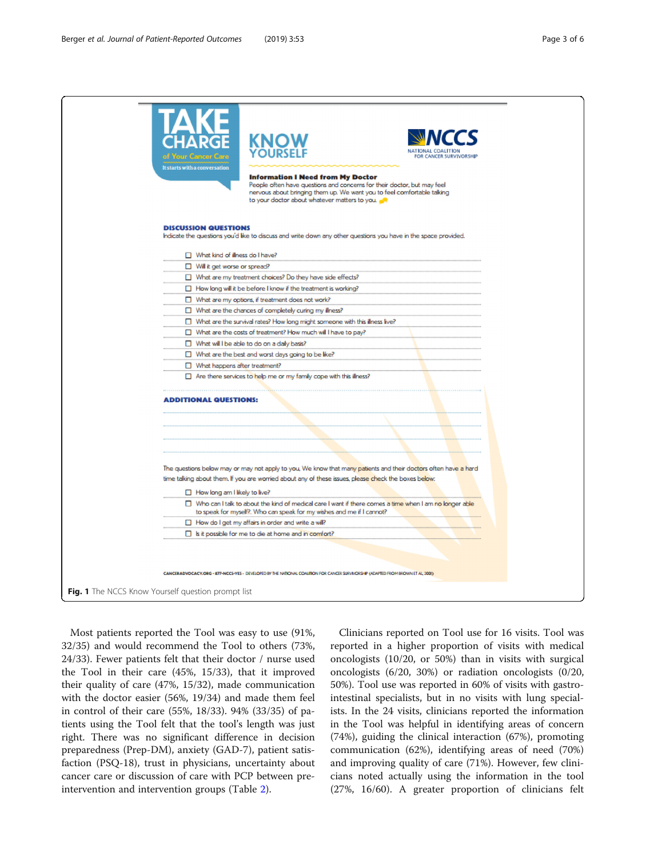<span id="page-2-0"></span>

Most patients reported the Tool was easy to use (91%, 32/35) and would recommend the Tool to others (73%, 24/33). Fewer patients felt that their doctor / nurse used the Tool in their care (45%, 15/33), that it improved their quality of care (47%, 15/32), made communication with the doctor easier (56%, 19/34) and made them feel in control of their care (55%, 18/33). 94% (33/35) of patients using the Tool felt that the tool's length was just right. There was no significant difference in decision preparedness (Prep-DM), anxiety (GAD-7), patient satisfaction (PSQ-18), trust in physicians, uncertainty about cancer care or discussion of care with PCP between preintervention and intervention groups (Table [2\)](#page-4-0).

Clinicians reported on Tool use for 16 visits. Tool was reported in a higher proportion of visits with medical oncologists (10/20, or 50%) than in visits with surgical oncologists (6/20, 30%) or radiation oncologists (0/20, 50%). Tool use was reported in 60% of visits with gastrointestinal specialists, but in no visits with lung specialists. In the 24 visits, clinicians reported the information in the Tool was helpful in identifying areas of concern (74%), guiding the clinical interaction (67%), promoting communication (62%), identifying areas of need (70%) and improving quality of care (71%). However, few clinicians noted actually using the information in the tool (27%, 16/60). A greater proportion of clinicians felt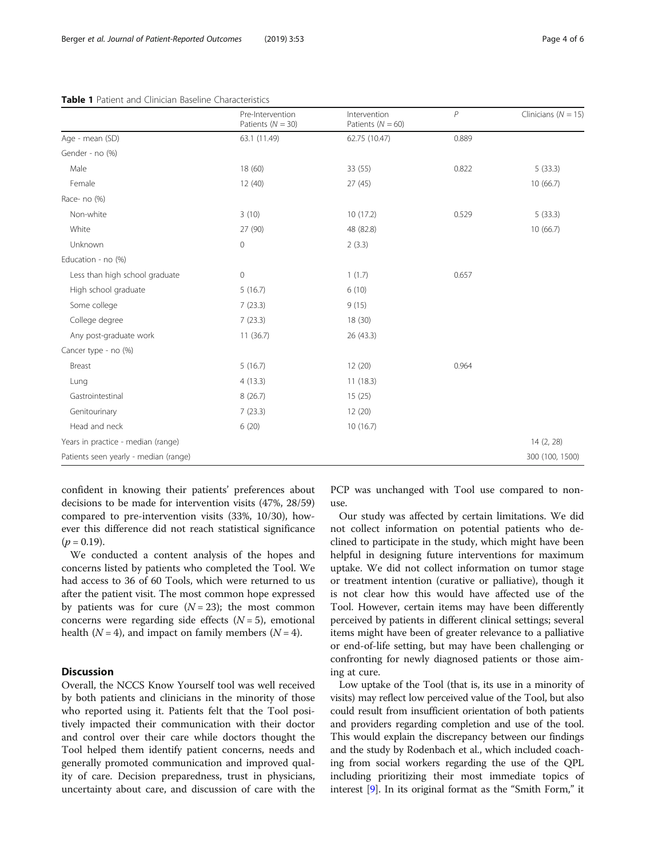#### <span id="page-3-0"></span>Table 1 Patient and Clinician Baseline Characteristics

|                                       | Pre-Intervention      | Intervention          | P     | Clinicians ( $N = 15$ ) |
|---------------------------------------|-----------------------|-----------------------|-------|-------------------------|
|                                       | Patients ( $N = 30$ ) | Patients ( $N = 60$ ) |       |                         |
| Age - mean (SD)                       | 63.1 (11.49)          | 62.75 (10.47)         | 0.889 |                         |
| Gender - no (%)                       |                       |                       |       |                         |
| Male                                  | 18 (60)               | 33 (55)               | 0.822 | 5(33.3)                 |
| Female                                | 12(40)                | 27(45)                |       | 10(66.7)                |
| Race- no (%)                          |                       |                       |       |                         |
| Non-white                             | 3(10)                 | 10(17.2)              | 0.529 | 5(33.3)                 |
| White                                 | 27 (90)               | 48 (82.8)             |       | 10(66.7)                |
| Unknown                               | 0                     | 2(3.3)                |       |                         |
| Education - no (%)                    |                       |                       |       |                         |
| Less than high school graduate        | 0                     | 1(1.7)                | 0.657 |                         |
| High school graduate                  | 5(16.7)               | 6(10)                 |       |                         |
| Some college                          | 7(23.3)               | 9(15)                 |       |                         |
| College degree                        | 7(23.3)               | 18(30)                |       |                         |
| Any post-graduate work                | 11(36.7)              | 26(43.3)              |       |                         |
| Cancer type - no (%)                  |                       |                       |       |                         |
| Breast                                | 5(16.7)               | 12(20)                | 0.964 |                         |
| Lung                                  | 4(13.3)               | 11(18.3)              |       |                         |
| Gastrointestinal                      | 8(26.7)               | 15(25)                |       |                         |
| Genitourinary                         | 7(23.3)               | 12(20)                |       |                         |
| Head and neck                         | 6(20)                 | 10(16.7)              |       |                         |
| Years in practice - median (range)    |                       |                       |       | 14 (2, 28)              |
| Patients seen yearly - median (range) |                       |                       |       | 300 (100, 1500)         |

confident in knowing their patients' preferences about decisions to be made for intervention visits (47%, 28/59) compared to pre-intervention visits (33%, 10/30), however this difference did not reach statistical significance  $(p = 0.19)$ .

We conducted a content analysis of the hopes and concerns listed by patients who completed the Tool. We had access to 36 of 60 Tools, which were returned to us after the patient visit. The most common hope expressed by patients was for cure  $(N = 23)$ ; the most common concerns were regarding side effects  $(N = 5)$ , emotional health ( $N = 4$ ), and impact on family members ( $N = 4$ ).

## **Discussion**

Overall, the NCCS Know Yourself tool was well received by both patients and clinicians in the minority of those who reported using it. Patients felt that the Tool positively impacted their communication with their doctor and control over their care while doctors thought the Tool helped them identify patient concerns, needs and generally promoted communication and improved quality of care. Decision preparedness, trust in physicians, uncertainty about care, and discussion of care with the PCP was unchanged with Tool use compared to nonuse.

Our study was affected by certain limitations. We did not collect information on potential patients who declined to participate in the study, which might have been helpful in designing future interventions for maximum uptake. We did not collect information on tumor stage or treatment intention (curative or palliative), though it is not clear how this would have affected use of the Tool. However, certain items may have been differently perceived by patients in different clinical settings; several items might have been of greater relevance to a palliative or end-of-life setting, but may have been challenging or confronting for newly diagnosed patients or those aiming at cure.

Low uptake of the Tool (that is, its use in a minority of visits) may reflect low perceived value of the Tool, but also could result from insufficient orientation of both patients and providers regarding completion and use of the tool. This would explain the discrepancy between our findings and the study by Rodenbach et al., which included coaching from social workers regarding the use of the QPL including prioritizing their most immediate topics of interest [\[9\]](#page-5-0). In its original format as the "Smith Form," it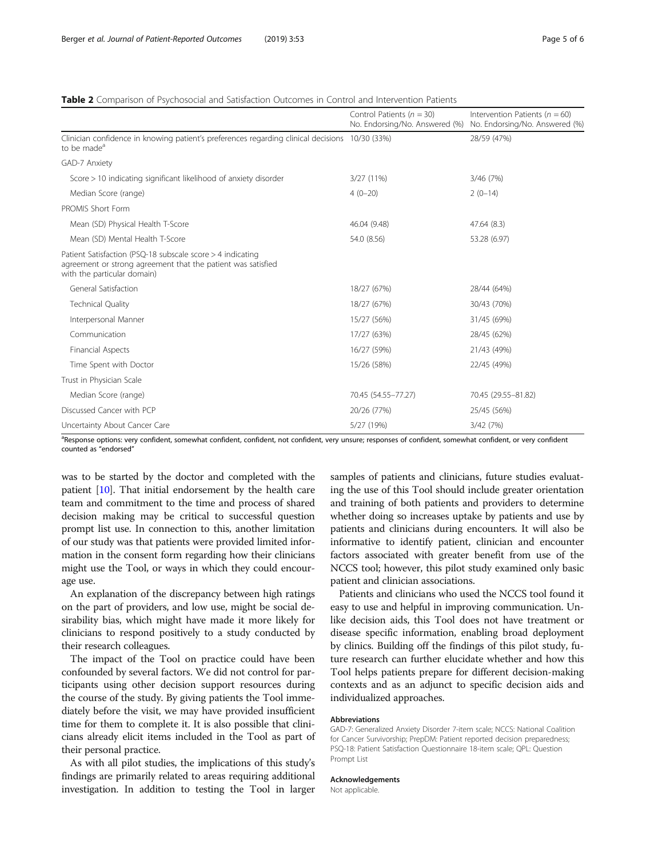## <span id="page-4-0"></span>Table 2 Comparison of Psychosocial and Satisfaction Outcomes in Control and Intervention Patients

|                                                                                                                                                           | Control Patients ( $n = 30$ )<br>No. Endorsing/No. Answered (%) | Intervention Patients ( $n = 60$ )<br>No. Endorsing/No. Answered (%) |
|-----------------------------------------------------------------------------------------------------------------------------------------------------------|-----------------------------------------------------------------|----------------------------------------------------------------------|
| Clinician confidence in knowing patient's preferences regarding clinical decisions 10/30 (33%)<br>to be made <sup>a</sup>                                 |                                                                 | 28/59 (47%)                                                          |
| GAD-7 Anxiety                                                                                                                                             |                                                                 |                                                                      |
| Score > 10 indicating significant likelihood of anxiety disorder                                                                                          | 3/27 (11%)                                                      | 3/46 (7%)                                                            |
| Median Score (range)                                                                                                                                      | $4(0-20)$                                                       | $2(0-14)$                                                            |
| PROMIS Short Form                                                                                                                                         |                                                                 |                                                                      |
| Mean (SD) Physical Health T-Score                                                                                                                         | 46.04 (9.48)                                                    | 47.64 (8.3)                                                          |
| Mean (SD) Mental Health T-Score                                                                                                                           | 54.0 (8.56)                                                     | 53.28 (6.97)                                                         |
| Patient Satisfaction (PSQ-18 subscale score > 4 indicating<br>agreement or strong agreement that the patient was satisfied<br>with the particular domain) |                                                                 |                                                                      |
| General Satisfaction                                                                                                                                      | 18/27 (67%)                                                     | 28/44 (64%)                                                          |
| <b>Technical Quality</b>                                                                                                                                  | 18/27 (67%)                                                     | 30/43 (70%)                                                          |
| Interpersonal Manner                                                                                                                                      | 15/27 (56%)                                                     | 31/45 (69%)                                                          |
| Communication                                                                                                                                             | 17/27 (63%)                                                     | 28/45 (62%)                                                          |
| Financial Aspects                                                                                                                                         | 16/27 (59%)                                                     | 21/43 (49%)                                                          |
| Time Spent with Doctor                                                                                                                                    | 15/26 (58%)                                                     | 22/45 (49%)                                                          |
| Trust in Physician Scale                                                                                                                                  |                                                                 |                                                                      |
| Median Score (range)                                                                                                                                      | 70.45 (54.55-77.27)                                             | 70.45 (29.55-81.82)                                                  |
| Discussed Cancer with PCP                                                                                                                                 | 20/26 (77%)                                                     | 25/45 (56%)                                                          |
| Uncertainty About Cancer Care                                                                                                                             | 5/27 (19%)                                                      | 3/42 (7%)                                                            |

a<br>Response options: very confident, somewhat confident, confident, not confident, very unsure; responses of confident, somewhat confident, or very confident counted as "endorsed"

was to be started by the doctor and completed with the patient [\[10](#page-5-0)]. That initial endorsement by the health care team and commitment to the time and process of shared decision making may be critical to successful question prompt list use. In connection to this, another limitation of our study was that patients were provided limited information in the consent form regarding how their clinicians might use the Tool, or ways in which they could encourage use.

An explanation of the discrepancy between high ratings on the part of providers, and low use, might be social desirability bias, which might have made it more likely for clinicians to respond positively to a study conducted by their research colleagues.

The impact of the Tool on practice could have been confounded by several factors. We did not control for participants using other decision support resources during the course of the study. By giving patients the Tool immediately before the visit, we may have provided insufficient time for them to complete it. It is also possible that clinicians already elicit items included in the Tool as part of their personal practice.

As with all pilot studies, the implications of this study's findings are primarily related to areas requiring additional investigation. In addition to testing the Tool in larger samples of patients and clinicians, future studies evaluating the use of this Tool should include greater orientation and training of both patients and providers to determine whether doing so increases uptake by patients and use by patients and clinicians during encounters. It will also be informative to identify patient, clinician and encounter factors associated with greater benefit from use of the NCCS tool; however, this pilot study examined only basic patient and clinician associations.

Patients and clinicians who used the NCCS tool found it easy to use and helpful in improving communication. Unlike decision aids, this Tool does not have treatment or disease specific information, enabling broad deployment by clinics. Building off the findings of this pilot study, future research can further elucidate whether and how this Tool helps patients prepare for different decision-making contexts and as an adjunct to specific decision aids and individualized approaches.

#### Abbreviations

GAD-7: Generalized Anxiety Disorder 7-item scale; NCCS: National Coalition for Cancer Survivorship; PrepDM: Patient reported decision preparedness; PSQ-18: Patient Satisfaction Questionnaire 18-item scale; QPL: Question Prompt List

## Acknowledgements

Not applicable.